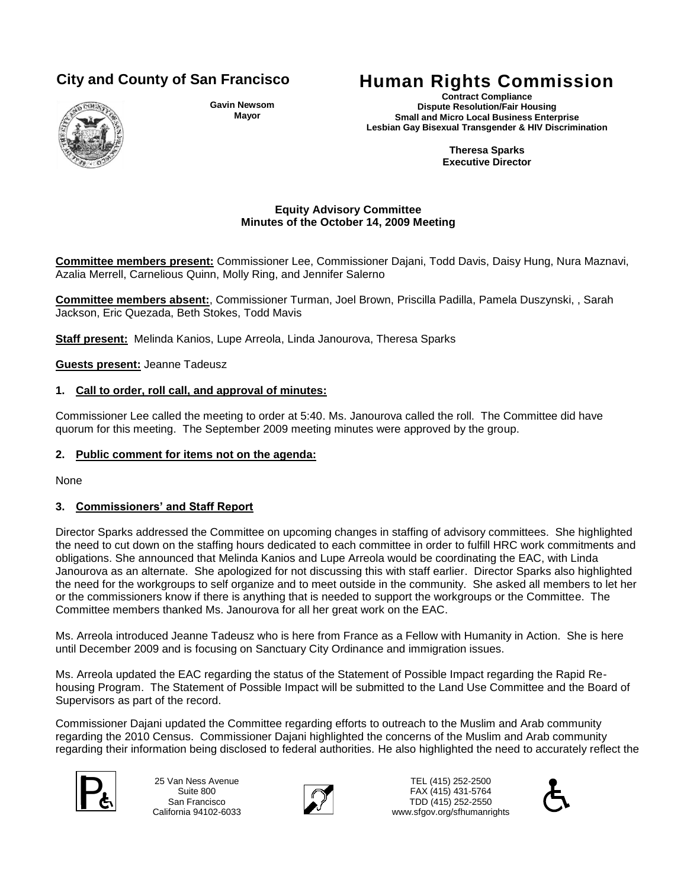

**Gavin Newsom Mayor**

# **City and County of San Francisco Human Rights Commission**

**Contract Compliance Dispute Resolution/Fair Housing Small and Micro Local Business Enterprise Lesbian Gay Bisexual Transgender & HIV Discrimination**

> **Theresa Sparks Executive Director**

#### **Equity Advisory Committee Minutes of the October 14, 2009 Meeting**

**Committee members present:** Commissioner Lee, Commissioner Dajani, Todd Davis, Daisy Hung, Nura Maznavi, Azalia Merrell, Carnelious Quinn, Molly Ring, and Jennifer Salerno

**Committee members absent:**, Commissioner Turman, Joel Brown, Priscilla Padilla, Pamela Duszynski, , Sarah Jackson, Eric Quezada, Beth Stokes, Todd Mavis

**Staff present:** Melinda Kanios, Lupe Arreola, Linda Janourova, Theresa Sparks

**Guests present:** Jeanne Tadeusz

#### **1. Call to order, roll call, and approval of minutes:**

Commissioner Lee called the meeting to order at 5:40. Ms. Janourova called the roll. The Committee did have quorum for this meeting. The September 2009 meeting minutes were approved by the group.

#### **2. Public comment for items not on the agenda:**

None

# **3. Commissioners' and Staff Report**

Director Sparks addressed the Committee on upcoming changes in staffing of advisory committees. She highlighted the need to cut down on the staffing hours dedicated to each committee in order to fulfill HRC work commitments and obligations. She announced that Melinda Kanios and Lupe Arreola would be coordinating the EAC, with Linda Janourova as an alternate. She apologized for not discussing this with staff earlier. Director Sparks also highlighted the need for the workgroups to self organize and to meet outside in the community. She asked all members to let her or the commissioners know if there is anything that is needed to support the workgroups or the Committee. The Committee members thanked Ms. Janourova for all her great work on the EAC.

Ms. Arreola introduced Jeanne Tadeusz who is here from France as a Fellow with Humanity in Action. She is here until December 2009 and is focusing on Sanctuary City Ordinance and immigration issues.

Ms. Arreola updated the EAC regarding the status of the Statement of Possible Impact regarding the Rapid Rehousing Program. The Statement of Possible Impact will be submitted to the Land Use Committee and the Board of Supervisors as part of the record.

Commissioner Dajani updated the Committee regarding efforts to outreach to the Muslim and Arab community regarding the 2010 Census. Commissioner Dajani highlighted the concerns of the Muslim and Arab community regarding their information being disclosed to federal authorities. He also highlighted the need to accurately reflect the



25 Van Ness Avenue Suite 800 San Francisco California 94102-6033



TEL (415) 252-2500 FAX (415) 431-5764 25 Van Ness Avenue<br>
Suite 800<br>
San Francisco<br>
Collisteria 94102 6033<br>
Collisteria 94102 6033 www.sfgov.org/sfhumanrights

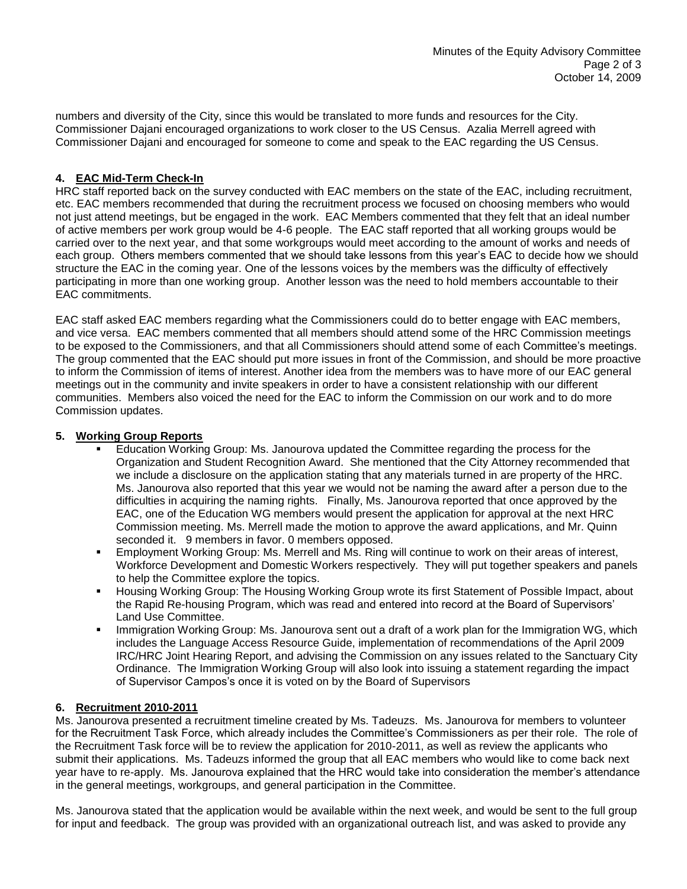numbers and diversity of the City, since this would be translated to more funds and resources for the City. Commissioner Dajani encouraged organizations to work closer to the US Census. Azalia Merrell agreed with Commissioner Dajani and encouraged for someone to come and speak to the EAC regarding the US Census.

# **4. EAC Mid-Term Check-In**

HRC staff reported back on the survey conducted with EAC members on the state of the EAC, including recruitment, etc. EAC members recommended that during the recruitment process we focused on choosing members who would not just attend meetings, but be engaged in the work. EAC Members commented that they felt that an ideal number of active members per work group would be 4-6 people. The EAC staff reported that all working groups would be carried over to the next year, and that some workgroups would meet according to the amount of works and needs of each group. Others members commented that we should take lessons from this year's EAC to decide how we should structure the EAC in the coming year. One of the lessons voices by the members was the difficulty of effectively participating in more than one working group. Another lesson was the need to hold members accountable to their EAC commitments.

EAC staff asked EAC members regarding what the Commissioners could do to better engage with EAC members, and vice versa. EAC members commented that all members should attend some of the HRC Commission meetings to be exposed to the Commissioners, and that all Commissioners should attend some of each Committee's meetings. The group commented that the EAC should put more issues in front of the Commission, and should be more proactive to inform the Commission of items of interest. Another idea from the members was to have more of our EAC general meetings out in the community and invite speakers in order to have a consistent relationship with our different communities. Members also voiced the need for the EAC to inform the Commission on our work and to do more Commission updates.

# **5. Working Group Reports**

- Education Working Group: Ms. Janourova updated the Committee regarding the process for the Organization and Student Recognition Award. She mentioned that the City Attorney recommended that we include a disclosure on the application stating that any materials turned in are property of the HRC. Ms. Janourova also reported that this year we would not be naming the award after a person due to the difficulties in acquiring the naming rights. Finally, Ms. Janourova reported that once approved by the EAC, one of the Education WG members would present the application for approval at the next HRC Commission meeting. Ms. Merrell made the motion to approve the award applications, and Mr. Quinn seconded it. 9 members in favor. 0 members opposed.
- Employment Working Group: Ms. Merrell and Ms. Ring will continue to work on their areas of interest, Workforce Development and Domestic Workers respectively. They will put together speakers and panels to help the Committee explore the topics.
- Housing Working Group: The Housing Working Group wrote its first Statement of Possible Impact, about the Rapid Re-housing Program, which was read and entered into record at the Board of Supervisors' Land Use Committee.
- Immigration Working Group: Ms. Janourova sent out a draft of a work plan for the Immigration WG, which includes the Language Access Resource Guide, implementation of recommendations of the April 2009 IRC/HRC Joint Hearing Report, and advising the Commission on any issues related to the Sanctuary City Ordinance. The Immigration Working Group will also look into issuing a statement regarding the impact of Supervisor Campos's once it is voted on by the Board of Supervisors

# **6. Recruitment 2010-2011**

Ms. Janourova presented a recruitment timeline created by Ms. Tadeuzs. Ms. Janourova for members to volunteer for the Recruitment Task Force, which already includes the Committee's Commissioners as per their role. The role of the Recruitment Task force will be to review the application for 2010-2011, as well as review the applicants who submit their applications. Ms. Tadeuzs informed the group that all EAC members who would like to come back next year have to re-apply. Ms. Janourova explained that the HRC would take into consideration the member's attendance in the general meetings, workgroups, and general participation in the Committee.

Ms. Janourova stated that the application would be available within the next week, and would be sent to the full group for input and feedback. The group was provided with an organizational outreach list, and was asked to provide any